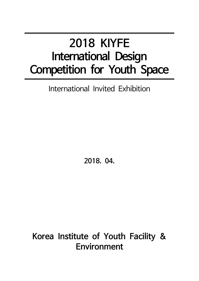# **2018 KIYFE International Design Competition for Youth Space**

### International Invited Exhibition

**2018. 04.**

## **Korea Institute of Youth Facility & Environment**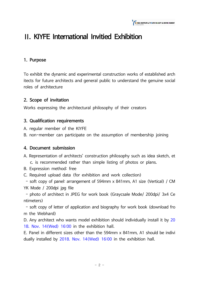

### **Ⅱ. KIYFE International Invitied Exhibition**

#### **1. Purpose**

To exhibit the dynamic and experimental construction works of established arch itects for future architects and general public to understand the genuine social roles of architecture

#### **2. Scope of invitation**

Works expressing the architectural philosophy of their creators

#### **3. Qualification requirements**

- A. regular member of the KIYFE
- B. non-member can participate on the assumption of membership joining

#### **4. Document submission**

- A. Representation of architects' construction philosophy such as idea sketch, et c. is recommended rather than simple listing of photos or plans.
- B. Expression method: free
- C. Required upload data (for exhibition and work collection)

- soft copy of panel: arrangement of 594mm x 841mm, A1 size (Vertical) / CM YK Mode / 200dpi jpg file

- photo of architect in JPEG for work book (Graycsale Mode/ 200dpi/ 3x4 Ce ntimeters)

- soft copy of letter of application and biography for work book (download fro m the Webhard)

D. Any architect who wants model exhibition should individually install it by 20 18. Nov. 14(Wed) 16:00 in the exhibition hall.

E. Panel in different sizes other than the 594mm x 841mm, A1 should be indivi dually installed by 2018. Nov. 14(Wed) 16:00 in the exhibition hall.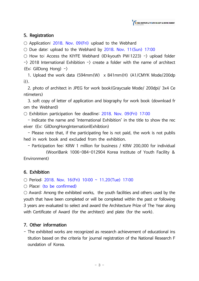#### **5. Registration**

 $\circ$  Application: 2018. Nov. 09(Fri) upload to the Webhard

○ Due date: upload to the Webhard by 2018. Nov. 11(Sun) 17:00

 $\circ$  How to: Access the KIYFE Webhard (ID:kyouth PW:1223) -) upload folder  $\rightarrow$  2018 International Exhibition  $\rightarrow$  create a folder with the name of architect (Ex: GilDong Hong)  $-\rangle$ 

 1. Upload the work data (594mm(W) x 841mm(H) (A1/CMYK Mode/200dp i)).

 2. photo of architect in JPEG for work book(Graycsale Mode/ 200dpi/ 3x4 Ce ntimeters)

 3. soft copy of letter of application and biography for work book (download fr om the Webhard)

○ Exhibition participation fee deadline: 2018. Nov. 09(Fri) 17:00

 - Indicate the name and 'International Exhibition' in the title to show the rec eiver (Ex: GilDongHongInternationlExhibtion)

 - Please note that, if the participating fee is not paid, the work is not publis hed in work book and excluded from the exhibition.

- Participation fee: KRW 1 million for business / KRW 200,000 for individual

 (WooriBank 1006-084-012904 Korea Institute of Youth Facility & Environment)

#### **6. Exhibition**

 $\circ$  Period: 2018. Nov. 16(Fri) 10:00 ~ 11.20(Tue) 17:00

○ Place: (to be confirmed)

 $\circ$  Award: Among the exhibited works, the youth facilities and others used by the youth that have been completed or will be completed within the past or following 3 years are evaluated to select and award the Architecture Prize of The Year along with Certificate of Award (for the architect) and plate (for the work).

#### **7. Other information**

- The exhibited works are recognized as research achievement of educational ins titution based on the criteria for journal registration of the National Research F oundation of Korea.